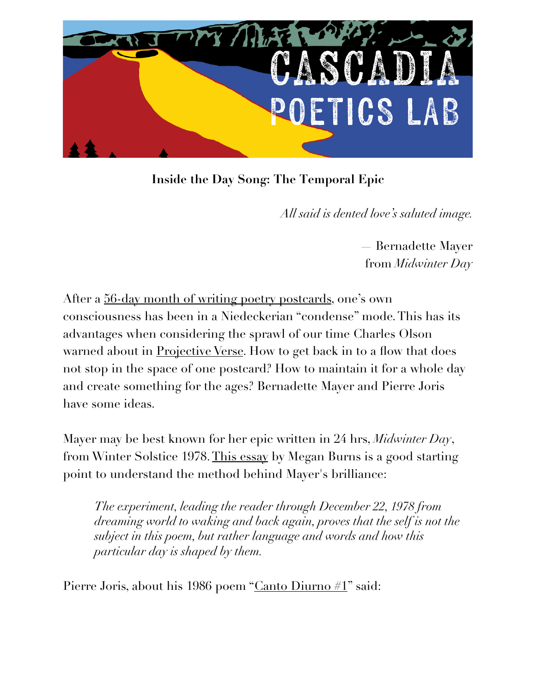

**Inside the Day Song: The Temporal Epic**

*All said is dented love's saluted image.*

— Bernadette Mayer from *Midwinter Day*

After a [56-day month of writing poetry postcards,](http://poetryposcatrdfest.org) one's own consciousness has been in a Niedeckerian "condense" mode. This has its advantages when considering the sprawl of our time Charles Olson warned about in <u>Projective Verse</u>. How to get back in to a flow that does not stop in the space of one postcard? How to maintain it for a whole day and create something for the ages? Bernadette Mayer and Pierre Joris have some ideas.

Mayer may be best known for her epic written in 24 hrs, *Midwinter Day*, from Winter Solstice 1978. [This essay](http://jacketmagazine.com/40/burns-mayer.shtml) by Megan Burns is a good starting point to understand the method behind Mayer's brilliance:

*The experiment, leading the reader through December 22, 1978 from dreaming world to waking and back again, proves that the self is not the subject in this poem, but rather language and words and how this particular day is shaped by them.*

Pierre Joris, about his 1986 poem "[Canto Diurno #1](https://paulenelson.com/wp-content/uploads/2022/04/Canto-Diurno-1.pdf)" said: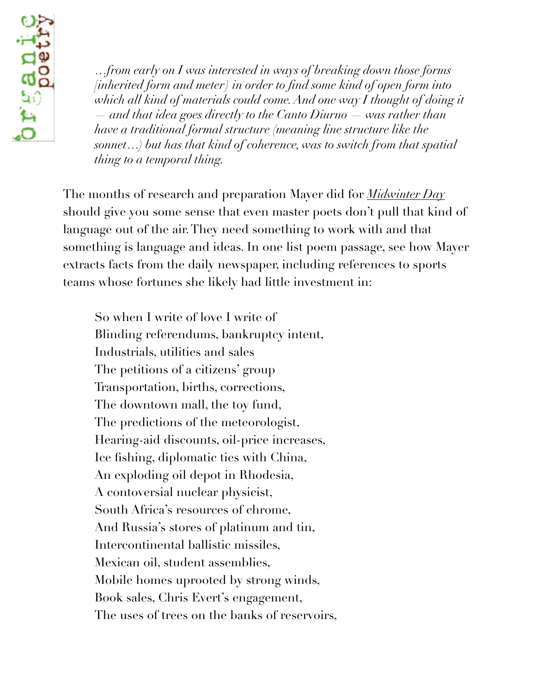

*…from early on I was interested in ways of breaking down those forms [inherited form and meter} in order to find some kind of open form into* which all kind of materials could come. And one way I thought of doing it *— and that idea goes directly to the Canto Diurno — was rather than have a traditional formal structure (meaning line structure like the sonnet…) but has that kind of coherence, was to switch from that spatial thing to a temporal thing.* 

The months of research and preparation Mayer did for *[Midwinter Day](https://poets.org/poem/midwinter-day-excerpt)* should give you some sense that even master poets don't pull that kind of language out of the air. They need something to work with and that something is language and ideas. In one list poem passage, see how Mayer extracts facts from the daily newspaper, including references to sports teams whose fortunes she likely had little investment in:

So when I write of love I write of Blinding referendums, bankruptcy intent, Industrials, utilities and sales The petitions of a citizens' group Transportation, births, corrections, The downtown mall, the toy fund, The predictions of the meteorologist, Hearing-aid discounts, oil-price increases, Ice fishing, diplomatic ties with China, An exploding oil depot in Rhodesia, A contoversial nuclear physicist, South Africa's resources of chrome, And Russia's stores of platinum and tin, Intercontinental ballistic missiles, Mexican oil, student assemblies, Mobile homes uprooted by strong winds, Book sales, Chris Evert's engagement, The uses of trees on the banks of reservoirs,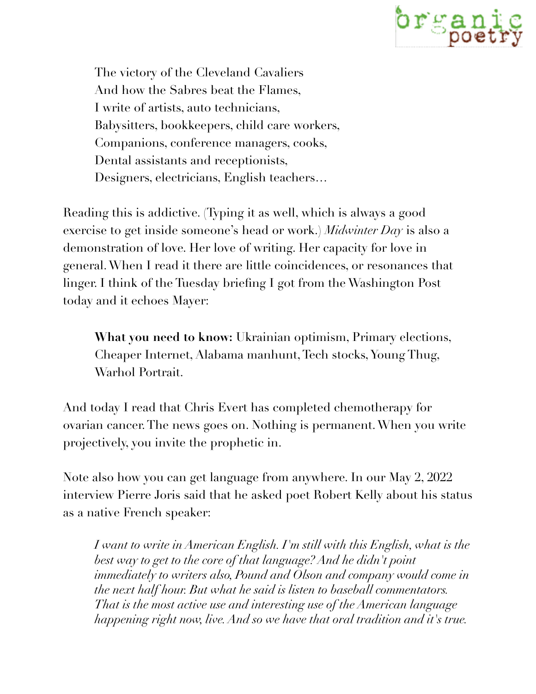

The victory of the Cleveland Cavaliers And how the Sabres beat the Flames, I write of artists, auto technicians, Babysitters, bookkeepers, child care workers, Companions, conference managers, cooks, Dental assistants and receptionists, Designers, electricians, English teachers…

Reading this is addictive. (Typing it as well, which is always a good exercise to get inside someone's head or work.) *Midwinter Day* is also a demonstration of love. Her love of writing. Her capacity for love in general. When I read it there are little coincidences, or resonances that linger. I think of the Tuesday briefing I got from the Washington Post today and it echoes Mayer:

**What you need to know:** Ukrainian optimism, Primary elections, Cheaper Internet, Alabama manhunt, Tech stocks, Young Thug, Warhol Portrait.

And today I read that Chris Evert has completed chemotherapy for ovarian cancer. The news goes on. Nothing is permanent. When you write projectively, you invite the prophetic in.

Note also how you can get language from anywhere. In our May 2, 2022 interview Pierre Joris said that he asked poet Robert Kelly about his status as a native French speaker:

*I* want to write in American English. I'm still with this English, what is the *best way to get to the core of that language? And he didn't point immediately to writers also, Pound and Olson and company would come in the next half hour. But what he said is listen to baseball commentators. That is the most active use and interesting use of the American language happening right now, live. And so we have that oral tradition and it's true.*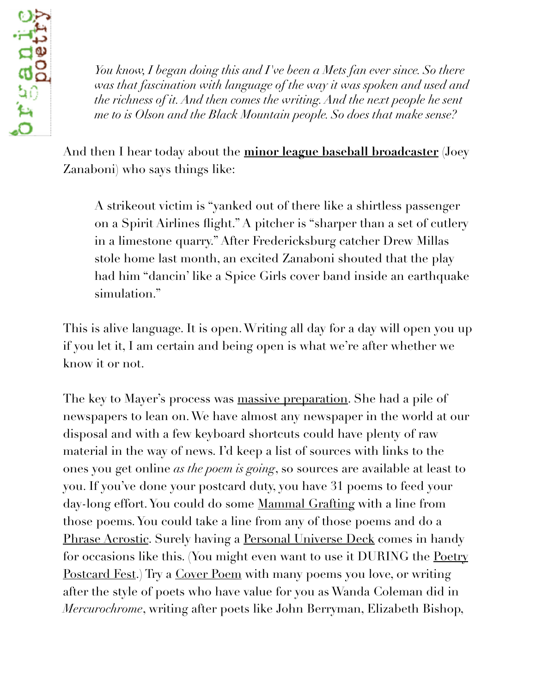*You know, I began doing this and I've been a Mets fan ever since. So there was that fascination with language of the way it was spoken and used and the richness of it. And then comes the writing. And the next people he sent me to is Olson and the Black Mountain people. So does that make sense?*

And then I hear today about the **[minor league baseball broadcaster](https://www.washingtonpost.com/sports/2022/05/10/nats-minor-league-broadcaster/)** (Joey Zanaboni) who says things like:

A strikeout victim is "yanked out of there like a shirtless passenger on a Spirit Airlines flight." A pitcher is "sharper than a set of cutlery in a limestone quarry." After Fredericksburg catcher Drew Millas stole home last month, an excited Zanaboni shouted that the play had him "dancin' like a Spice Girls cover band inside an earthquake simulation."

This is alive language. It is open. Writing all day for a day will open you up if you let it, I am certain and being open is what we're after whether we know it or not.

The key to Mayer's process was [massive preparation](https://paulenelson.com/wp-content/uploads/2022/05/Bernadette-Mayer-on-Midwinter-Day-workshop-at-Naropa-July-17-1989-.pdf). She had a pile of newspapers to lean on. We have almost any newspaper in the world at our disposal and with a few keyboard shortcuts could have plenty of raw material in the way of news. I'd keep a list of sources with links to the ones you get online *as the poem is going*, so sources are available at least to you. If you've done your postcard duty, you have 31 poems to feed your day-long effort. You could do some [Mammal Grafting](https://paulenelson.com/2021/03/15/mammal-grafting/) with a line from those poems. You could take a line from any of those poems and do a [Phrase Acrostic.](https://paulenelson.com/workshops/phrase-acrostic-workshop-handout/) Surely having a [Personal Universe Deck](https://paulenelson.com/workshops/personal-universe-deck/) comes in handy for occasions like this. (You might even want to use it DURING the <u>Poetry</u> [Postcard Fest](http://PoetryPostcardFest.org).) Try a [Cover Poem](https://paulenelson.com/workshops/cover-poem-rewrite-new-arrangement/) with many poems you love, or writing after the style of poets who have value for you as Wanda Coleman did in *Mercurochrome*, writing after poets like John Berryman, Elizabeth Bishop,